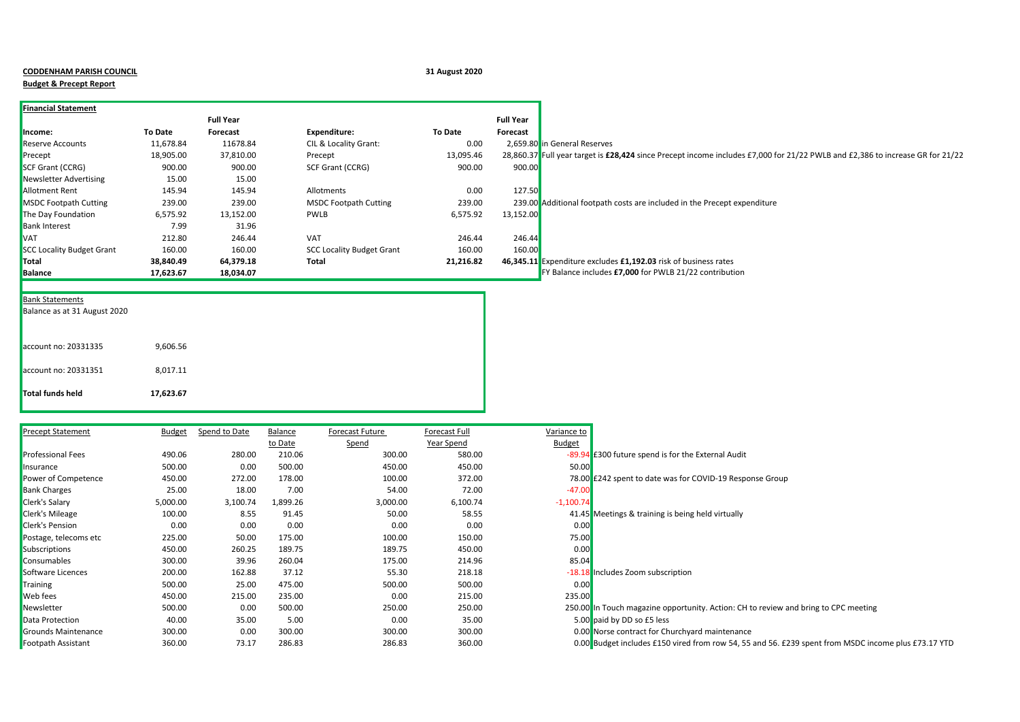|  | <b>CODDENHAM PARISH COUNCI</b> |  |  |
|--|--------------------------------|--|--|
|--|--------------------------------|--|--|

## **Budget & Precept Report**

**CODDENHAM PARISH COUNCIL 31 August 2020**

|                                  |           | <b>Full Year</b> |                                  |           | <b>Full Year</b> |                                                                                                                               |
|----------------------------------|-----------|------------------|----------------------------------|-----------|------------------|-------------------------------------------------------------------------------------------------------------------------------|
| Income:                          | To Date   | Forecast         | <b>Expenditure:</b>              | To Date   | Forecast         |                                                                                                                               |
| <b>Reserve Accounts</b>          | 11,678.84 | 11678.84         | CIL & Locality Grant:            | 0.00      |                  | 2,659.80 in General Reserves                                                                                                  |
| Precept                          | 18,905.00 | 37,810.00        | Precept                          | 13,095.46 |                  | 28.860.37 Full year target is £28,424 since Precept income includes £7,000 for 21/22 PWLB and £2,386 to increase GR for 21/22 |
| <b>SCF Grant (CCRG)</b>          | 900.00    | 900.00           | SCF Grant (CCRG)                 | 900.00    | 900.00           |                                                                                                                               |
| <b>Newsletter Advertising</b>    | 15.00     | 15.00            |                                  |           |                  |                                                                                                                               |
| <b>Allotment Rent</b>            | 145.94    | 145.94           | Allotments                       | 0.00      | 127.50           |                                                                                                                               |
| <b>MSDC Footpath Cutting</b>     | 239.00    | 239.00           | <b>MSDC Footpath Cutting</b>     | 239.00    |                  | 239.00 Additional footpath costs are included in the Precept expenditure                                                      |
| The Day Foundation               | 6,575.92  | 13,152.00        | <b>PWLB</b>                      | 6,575.92  | 13,152.00        |                                                                                                                               |
| <b>Bank Interest</b>             | 7.99      | 31.96            |                                  |           |                  |                                                                                                                               |
| <b>VAT</b>                       | 212.80    | 246.44           | <b>VAT</b>                       | 246.44    | 246.44           |                                                                                                                               |
| <b>SCC Locality Budget Grant</b> | 160.00    | 160.00           | <b>SCC Locality Budget Grant</b> | 160.00    | 160.00           |                                                                                                                               |
| Total                            | 38,840.49 | 64,379.18        | Total                            | 21,216.82 |                  | 46,345.11 Expenditure excludes £1,192.03 risk of business rates                                                               |
| <b>Balance</b>                   | 17,623.67 | 18,034.07        |                                  |           |                  | FY Balance includes £7,000 for PWLB 21/22 contribution                                                                        |

| <b>Bank Statements</b> |  |
|------------------------|--|
|                        |  |

| Total funds held             | 17,623.67 |
|------------------------------|-----------|
| account no: 20331351         | 8,017.11  |
| account no: 20331335         | 9,606.56  |
| Balance as at 31 August 2020 |           |

| <b>Precept Statement</b> | <b>Budget</b> | Spend to Date | Balance  | Forecast Future | Forecast Full | Variance to |                                                                                                     |
|--------------------------|---------------|---------------|----------|-----------------|---------------|-------------|-----------------------------------------------------------------------------------------------------|
|                          |               |               | to Date  | <u>Spend</u>    | Year Spend    | Budget      |                                                                                                     |
| <b>Professional Fees</b> | 490.06        | 280.00        | 210.06   | 300.00          | 580.00        |             | -89.94 £300 future spend is for the External Audit                                                  |
| Insurance                | 500.00        | 0.00          | 500.00   | 450.00          | 450.00        | 50.00       |                                                                                                     |
| Power of Competence      | 450.00        | 272.00        | 178.00   | 100.00          | 372.00        |             | 78.00 £242 spent to date was for COVID-19 Response Group                                            |
| <b>Bank Charges</b>      | 25.00         | 18.00         | 7.00     | 54.00           | 72.00         | $-47.00$    |                                                                                                     |
| <b>Clerk's Salary</b>    | 5,000.00      | 3,100.74      | 1,899.26 | 3,000.00        | 6,100.74      | $-1,100.74$ |                                                                                                     |
| <b>Clerk's Mileage</b>   | 100.00        | 8.55          | 91.45    | 50.00           | 58.55         |             | 41.45 Meetings & training is being held virtually                                                   |
| <b>Clerk's Pension</b>   | 0.00          | 0.00          | 0.00     | 0.00            | 0.00          | 0.00        |                                                                                                     |
| Postage, telecoms etc    | 225.00        | 50.00         | 175.00   | 100.00          | 150.00        | 75.00       |                                                                                                     |
| Subscriptions            | 450.00        | 260.25        | 189.75   | 189.75          | 450.00        | 0.00        |                                                                                                     |
| Consumables              | 300.00        | 39.96         | 260.04   | 175.00          | 214.96        | 85.04       |                                                                                                     |
| Software Licences        | 200.00        | 162.88        | 37.12    | 55.30           | 218.18        |             | -18.18 Includes Zoom subscription                                                                   |
| Training                 | 500.00        | 25.00         | 475.00   | 500.00          | 500.00        | 0.00        |                                                                                                     |
| <b>Web</b> fees          | 450.00        | 215.00        | 235.00   | 0.00            | 215.00        | 235.00      |                                                                                                     |
| Newsletter               | 500.00        | 0.00          | 500.00   | 250.00          | 250.00        |             | 250.00 In Touch magazine opportunity. Action: CH to review and bring to CPC meeting                 |
| Data Protection          | 40.00         | 35.00         | 5.00     | 0.00            | 35.00         |             | 5.00 paid by DD so £5 less                                                                          |
| Grounds Maintenance      | 300.00        | 0.00          | 300.00   | 300.00          | 300.00        |             | 0.00 Norse contract for Churchyard maintenance                                                      |
| Footpath Assistant       | 360.00        | 73.17         | 286.83   | 286.83          | 360.00        |             | 0.00 Budget includes £150 vired from row 54, 55 and 56. £239 spent from MSDC income plus £73.17 YTD |

| ariance to  |                                                                                                |
|-------------|------------------------------------------------------------------------------------------------|
| Budget      |                                                                                                |
|             | -89.94 E300 future spend is for the External Audit                                             |
| 50.00       |                                                                                                |
|             | 78.00 £242 spent to date was for COVID-19 Response Group                                       |
| $-47.00$    |                                                                                                |
| $-1,100.74$ |                                                                                                |
|             | 41.45 Meetings & training is being held virtually                                              |
| 0.00        |                                                                                                |
| 75.00       |                                                                                                |
| 0.00        |                                                                                                |
| 85.04       |                                                                                                |
|             | -18.18 Includes Zoom subscription                                                              |
| 0.00        |                                                                                                |
| 235.00      |                                                                                                |
|             | 250.00 In Touch magazine opportunity. Action: CH to review and bring to CPC meeting            |
|             | 5.00 paid by DD so £5 less                                                                     |
|             | 0.00 Norse contract for Churchyard maintenance                                                 |
|             | 0.00 Budget includes £150 vired from row 54, 55 and 56. £239 spent from MSDC income plus £73.1 |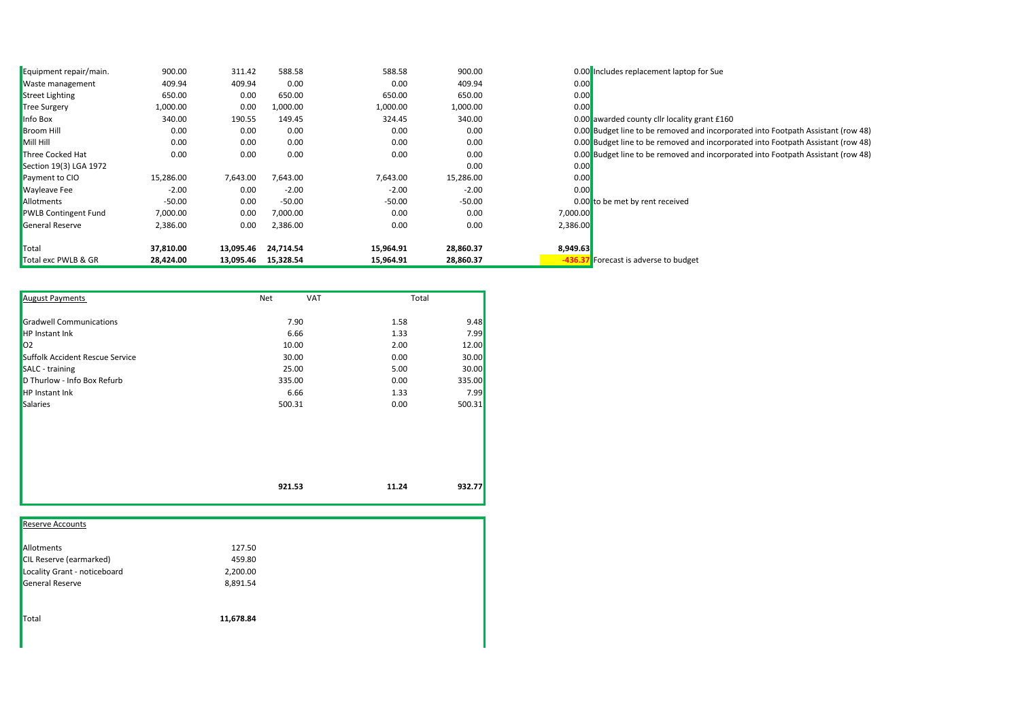| Equipment repair/main.      | 900.00    | 311.42    | 588.58    | 588.58    | 900.00    |          | 0.00 Includes replacement laptop for Sue                                         |
|-----------------------------|-----------|-----------|-----------|-----------|-----------|----------|----------------------------------------------------------------------------------|
| <b>Waste management</b>     | 409.94    | 409.94    | 0.00      | 0.00      | 409.94    | 0.00     |                                                                                  |
| <b>Street Lighting</b>      | 650.00    | 0.00      | 650.00    | 650.00    | 650.00    | 0.00     |                                                                                  |
| <b>Tree Surgery</b>         | 1,000.00  | 0.00      | 1,000.00  | 1,000.00  | 1,000.00  | 0.00     |                                                                                  |
| Info Box                    | 340.00    | 190.55    | 149.45    | 324.45    | 340.00    |          | 0.00 awarded county cllr locality grant £160                                     |
| <b>Broom Hill</b>           | 0.00      | 0.00      | 0.00      | 0.00      | 0.00      |          | 0.00 Budget line to be removed and incorporated into Footpath Assistant (row 48) |
| Mill Hill                   | 0.00      | 0.00      | 0.00      | 0.00      | 0.00      |          | 0.00 Budget line to be removed and incorporated into Footpath Assistant (row 48) |
| Three Cocked Hat            | 0.00      | 0.00      | 0.00      | 0.00      | 0.00      |          | 0.00 Budget line to be removed and incorporated into Footpath Assistant (row 48) |
| Section 19(3) LGA 1972      |           |           |           |           | 0.00      | 0.00     |                                                                                  |
| Payment to CIO              | 15,286.00 | 7,643.00  | 7,643.00  | 7,643.00  | 15,286.00 | 0.00     |                                                                                  |
| <b>Wayleave Fee</b>         | $-2.00$   | 0.00      | $-2.00$   | $-2.00$   | $-2.00$   | 0.00     |                                                                                  |
| Allotments                  | $-50.00$  | 0.00      | $-50.00$  | $-50.00$  | $-50.00$  |          | 0.00 to be met by rent received                                                  |
| <b>PWLB Contingent Fund</b> | 7,000.00  | 0.00      | 7,000.00  | 0.00      | 0.00      | 7,000.00 |                                                                                  |
| <b>General Reserve</b>      | 2,386.00  | 0.00      | 2,386.00  | 0.00      | 0.00      | 2,386.00 |                                                                                  |
| Total                       | 37,810.00 | 13,095.46 | 24,714.54 | 15,964.91 | 28,860.37 | 8,949.63 |                                                                                  |
| Total exc PWLB & GR         | 28,424.00 | 13,095.46 | 15,328.54 | 15,964.91 | 28,860.37 | $-436.$  | Forecast is adverse to budget                                                    |

| <b>August Payments</b>          | <b>VAT</b><br>Net | Total |        |
|---------------------------------|-------------------|-------|--------|
| <b>Gradwell Communications</b>  | 7.90              | 1.58  | 9.48   |
| <b>HP</b> Instant Ink           | 6.66              | 1.33  | 7.99   |
| 02                              | 10.00             | 2.00  | 12.00  |
| Suffolk Accident Rescue Service | 30.00             | 0.00  | 30.00  |
| SALC - training                 | 25.00             | 5.00  | 30.00  |
| D Thurlow - Info Box Refurb     | 335.00            | 0.00  | 335.00 |
| <b>HP Instant Ink</b>           | 6.66              | 1.33  | 7.99   |
| Salaries                        | 500.31            | 0.00  | 500.31 |
|                                 |                   |       |        |
|                                 |                   |       |        |
|                                 | 921.53            | 11.24 | 932.77 |

| <b>Reserve Accounts</b>        |           |
|--------------------------------|-----------|
| Allotments                     | 127.50    |
| <b>CIL Reserve (earmarked)</b> | 459.80    |
| Locality Grant - noticeboard   | 2,200.00  |
| General Reserve                | 8,891.54  |
| Total                          | 11,678.84 |
|                                |           |